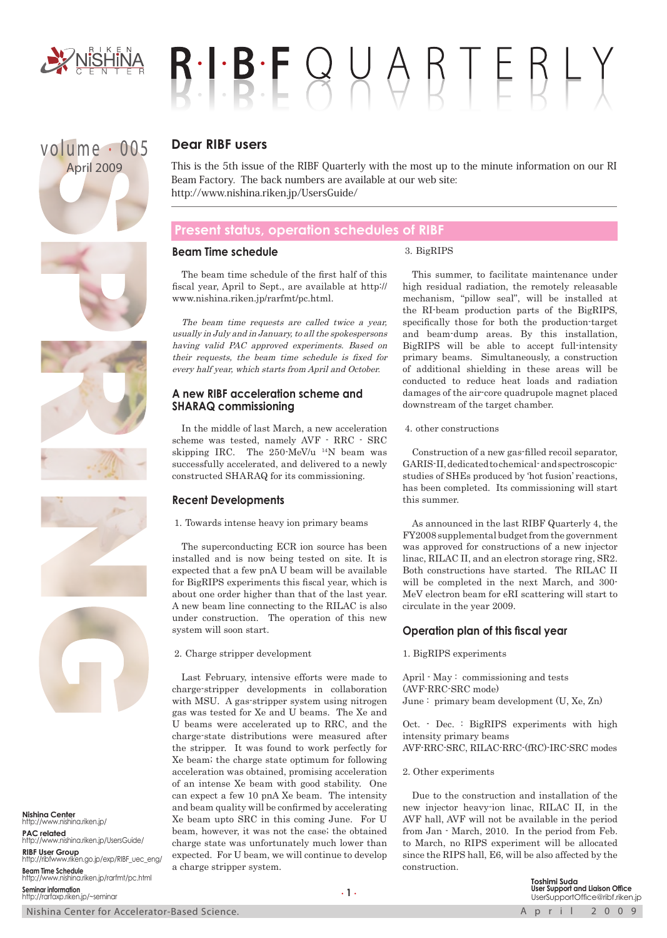

# $R \cdot P \cdot B \cdot F \cup C$

## volume . 005 April 2009







**Nishina Center** http://www.nishina.riken.jp/ **PAC related** http://www.nishina.riken.jp/UsersGuide/ **RIBF User Group** http://ribfwww.riken.go.jp/exp/RIBF\_uec\_eng/ **Beam Time Schedule** http://www.nishina.riken.jp/rarfmt/pc.html **Seminar information** http://rarfaxp.riken.jp/~seminar

#### **Dear RIBF users**

This is the 5th issue of the RIBF Quarterly with the most up to the minute information on our RI Beam Factory. The back numbers are available at our web site: http://www.nishina.riken.jp/UsersGuide/

#### **Present status, operation schedules of RIBF**

#### **Beam Time schedule**

#### 3. BigRIPS

The beam time schedule of the first half of this fiscal year, April to Sept., are available at http:// www.nishina.riken.jp/rarfmt/pc.html.

The beam time requests are called twice a year, usually in July and in January, to all the spokespersons having valid PAC approved experiments. Based on their requests, the beam time schedule is fixed for every half year, which starts from April and October.

#### **A new RIBF acceleration scheme and SHARAQ commissioning**

In the middle of last March, a new acceleration scheme was tested, namely AVF - RRC - SRC skipping IRC. The 250-MeV/u 14N beam was successfully accelerated, and delivered to a newly constructed SHARAQ for its commissioning.

#### **Recent Developments**

1. Towards intense heavy ion primary beams

The superconducting ECR ion source has been installed and is now being tested on site. It is expected that a few pnA U beam will be available for BigRIPS experiments this fiscal year, which is about one order higher than that of the last year. A new beam line connecting to the RILAC is also under construction. The operation of this new system will soon start.

2. Charge stripper development

Last February, intensive efforts were made to charge-stripper developments in collaboration with MSU. A gas-stripper system using nitrogen gas was tested for Xe and U beams. The Xe and U beams were accelerated up to RRC, and the charge-state distributions were measured after the stripper. It was found to work perfectly for Xe beam; the charge state optimum for following acceleration was obtained, promising acceleration of an intense Xe beam with good stability. One can expect a few 10 pnA Xe beam. The intensity and beam quality will be confirmed by accelerating Xe beam upto SRC in this coming June. For U beam, however, it was not the case; the obtained charge state was unfortunately much lower than expected. For U beam, we will continue to develop a charge stripper system.

This summer, to facilitate maintenance under high residual radiation, the remotely releasable mechanism, "pillow seal", will be installed at the RI-beam production parts of the BigRIPS, specifically those for both the production-target and beam-dump areas. By this installation, BigRIPS will be able to accept full-intensity primary beams. Simultaneously, a construction of additional shielding in these areas will be conducted to reduce heat loads and radiation damages of the air-core quadrupole magnet placed downstream of the target chamber.

4. other constructions

Construction of a new gas-filled recoil separator, GARIS-II, dedicated to chemical- and spectroscopicstudies of SHEs produced by 'hot fusion' reactions, has been completed. Its commissioning will start this summer.

As announced in the last RIBF Quarterly 4, the FY2008 supplemental budget from the government was approved for constructions of a new injector linac, RILAC II, and an electron storage ring, SR2. Both constructions have started. The RILAC II will be completed in the next March, and 300- MeV electron beam for eRI scattering will start to circulate in the year 2009.

#### **Operation plan of this fiscal year**

1. BigRIPS experiments

April - May : commissioning and tests (AVF-RRC-SRC mode) June : primary beam development (U, Xe, Zn)

Oct. - Dec. : BigRIPS experiments with high intensity primary beams AVF-RRC-SRC, RILAC-RRC-(fRC)-IRC-SRC modes

2. Other experiments

Due to the construction and installation of the new injector heavy-ion linac, RILAC II, in the AVF hall, AVF will not be available in the period from Jan - March, 2010. In the period from Feb. to March, no RIPS experiment will be allocated since the RIPS hall, E6, will be also affected by the construction.

> **Toshimi Suda User Support and Liaison Office** UserSupportOffice@ribf.riken.jp